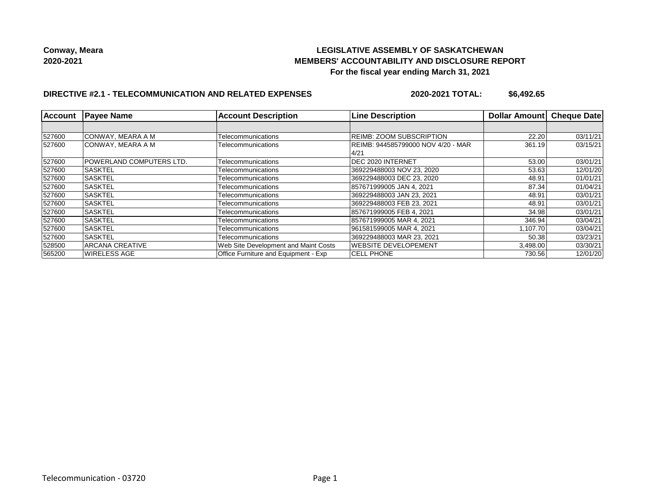## **LEGISLATIVE ASSEMBLY OF SASKATCHEWAN MEMBERS' ACCOUNTABILITY AND DISCLOSURE REPORT For the fiscal year ending March 31, 2021**

## **DIRECTIVE #2.1 - TELECOMMUNICATION AND RELATED EXPENSES**

**2020-2021 TOTAL: \$6,492.65**

| <b>Account</b> | <b>Payee Name</b>               | <b>Account Description</b>           | <b>Line Description</b>            | <b>Dollar Amountl</b> | <b>Cheque Date</b> |
|----------------|---------------------------------|--------------------------------------|------------------------------------|-----------------------|--------------------|
|                |                                 |                                      |                                    |                       |                    |
| 527600         | CONWAY, MEARA A M               | Telecommunications                   | <b>REIMB: ZOOM SUBSCRIPTION</b>    | 22.20                 | 03/11/21           |
| 527600         | ICONWAY. MEARA A M              | Telecommunications                   | REIMB: 944585799000 NOV 4/20 - MAR | 361.19                | 03/15/21           |
|                |                                 |                                      | 4/21                               |                       |                    |
| 527600         | <b>POWERLAND COMPUTERS LTD.</b> | Telecommunications                   | DEC 2020 INTERNET                  | 53.00                 | 03/01/21           |
| 527600         | <b>SASKTEL</b>                  | Telecommunications                   | 369229488003 NOV 23, 2020          | 53.63                 | 12/01/20           |
| 527600         | <b>SASKTEL</b>                  | Telecommunications                   | 369229488003 DEC 23, 2020          | 48.91                 | 01/01/21           |
| 527600         | <b>SASKTEL</b>                  | Telecommunications                   | 857671999005 JAN 4, 2021           | 87.34                 | 01/04/21           |
| 527600         | ISASKTEL                        | Telecommunications                   | 369229488003 JAN 23, 2021          | 48.91                 | 03/01/21           |
| 527600         | <b>SASKTEL</b>                  | Telecommunications                   | 369229488003 FEB 23, 2021          | 48.91                 | 03/01/21           |
| 527600         | <b>ISASKTEL</b>                 | Telecommunications                   | 857671999005 FEB 4.2021            | 34.98                 | 03/01/21           |
| 527600         | <b>ISASKTEL</b>                 | Telecommunications                   | 857671999005 MAR 4, 2021           | 346.94                | 03/04/21           |
| 527600         | <b>SASKTEL</b>                  | Telecommunications                   | 961581599005 MAR 4, 2021           | 1,107.70              | 03/04/21           |
| 527600         | <b>SASKTEL</b>                  | Telecommunications                   | 369229488003 MAR 23, 2021          | 50.38                 | 03/23/21           |
| 528500         | <b>ARCANA CREATIVE</b>          | Web Site Development and Maint Costs | WEBSITE DEVELOPEMENT               | 3,498.00              | 03/30/21           |
| 565200         | WIRELESS AGE                    | Office Furniture and Equipment - Exp | <b>CELL PHONE</b>                  | 730.56                | 12/01/20           |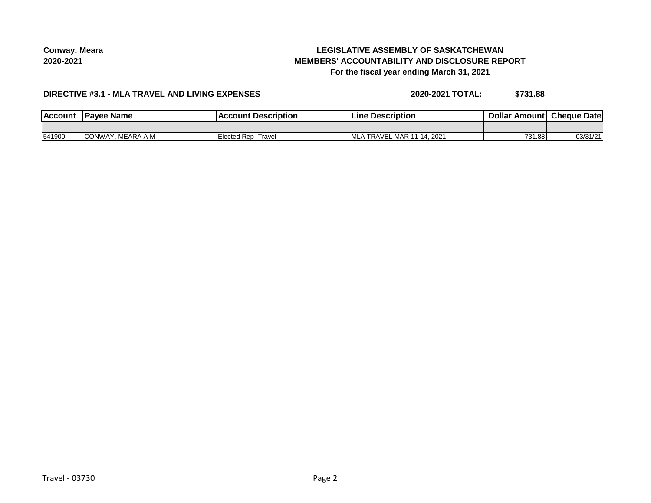# **LEGISLATIVE ASSEMBLY OF SASKATCHEWAN MEMBERS' ACCOUNTABILITY AND DISCLOSURE REPORT For the fiscal year ending March 31, 2021**

### **DIRECTIVE #3.1 - MLA TRAVEL AND LIVING EXPENSES**

**2020-2021 TOTAL: \$731.88**

| <b>IAccoun</b> | Pavee Name   | Description<br>umt     | <b>Description</b><br>_ıne         | Dolla<br>Amouni | <b>Cheque</b><br>Date |
|----------------|--------------|------------------------|------------------------------------|-----------------|-----------------------|
|                |              |                        |                                    |                 |                       |
| 541900         | A M<br>∨∆WW⊾ | Elected Rep<br>-Travel | - MAR 11-14. 2021<br>'ML∕<br>TRAVE | 731.88          | 0.010110              |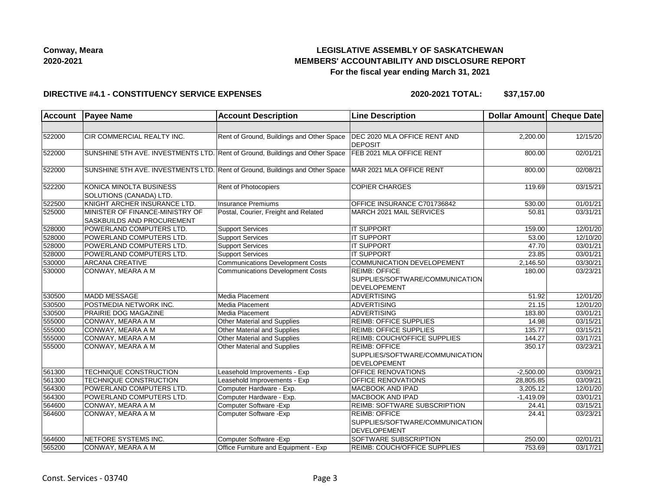

# **LEGISLATIVE ASSEMBLY OF SASKATCHEWAN MEMBERS' ACCOUNTABILITY AND DISCLOSURE REPORT For the fiscal year ending March 31, 2021**

### **DIRECTIVE #4.1 - CONSTITUENCY SERVICE EXPENSES**

**2020-2021 TOTAL: \$37,157.00**

| <b>Account</b> | <b>Payee Name</b>                                                            | <b>Account Description</b>                | <b>Line Description</b>                                                        | Dollar Amount | <b>Cheque Date</b> |
|----------------|------------------------------------------------------------------------------|-------------------------------------------|--------------------------------------------------------------------------------|---------------|--------------------|
|                |                                                                              |                                           |                                                                                |               |                    |
| 522000         | CIR COMMERCIAL REALTY INC.                                                   | Rent of Ground, Buildings and Other Space | <b>DEC 2020 MLA OFFICE RENT AND</b><br><b>DEPOSIT</b>                          | 2,200.00      | 12/15/20           |
| 522000         | SUNSHINE 5TH AVE. INVESTMENTS LTD. Rent of Ground, Buildings and Other Space |                                           | FEB 2021 MLA OFFICE RENT                                                       | 800.00        | 02/01/21           |
| 522000         | SUNSHINE 5TH AVE. INVESTMENTS LTD. Rent of Ground, Buildings and Other Space |                                           | MAR 2021 MLA OFFICE RENT                                                       | 800.00        | 02/08/21           |
| 522200         | KONICA MINOLTA BUSINESS<br>SOLUTIONS (CANADA) LTD.                           | Rent of Photocopiers                      | <b>COPIER CHARGES</b>                                                          | 119.69        | 03/15/21           |
| 522500         | KNIGHT ARCHER INSURANCE LTD.                                                 | <b>Insurance Premiums</b>                 | OFFICE INSURANCE C701736842                                                    | 530.00        | 01/01/21           |
| 525000         | MINISTER OF FINANCE-MINISTRY OF<br>SASKBUILDS AND PROCUREMENT                | Postal, Courier, Freight and Related      | MARCH 2021 MAIL SERVICES                                                       | 50.81         | 03/31/21           |
| 528000         | POWERLAND COMPUTERS LTD.                                                     | <b>Support Services</b>                   | <b>IT SUPPORT</b>                                                              | 159.00        | 12/01/20           |
| 528000         | POWERLAND COMPUTERS LTD.                                                     | Support Services                          | <b>IT SUPPORT</b>                                                              | 53.00         | 12/10/20           |
| 528000         | POWERLAND COMPUTERS LTD.                                                     | <b>Support Services</b>                   | <b>IT SUPPORT</b>                                                              | 47.70         | 03/01/21           |
| 528000         | POWERLAND COMPUTERS LTD.                                                     | <b>Support Services</b>                   | <b>IT SUPPORT</b>                                                              | 23.85         | 03/01/21           |
| 530000         | <b>ARCANA CREATIVE</b>                                                       | <b>Communications Development Costs</b>   | COMMUNICATION DEVELOPEMENT                                                     | 2,146.50      | 03/30/21           |
| 530000         | CONWAY, MEARA A M                                                            | <b>Communications Development Costs</b>   | <b>REIMB: OFFICE</b><br>SUPPLIES/SOFTWARE/COMMUNICATION<br><b>DEVELOPEMENT</b> | 180.00        | 03/23/21           |
| 530500         | MADD MESSAGE                                                                 | Media Placement                           | ADVERTISING                                                                    | 51.92         | 12/01/20           |
| 530500         | POSTMEDIA NETWORK INC.                                                       | Media Placement                           | <b>ADVERTISING</b>                                                             | 21.15         | 12/01/20           |
| 530500         | <b>PRAIRIE DOG MAGAZINE</b>                                                  | Media Placement                           | <b>ADVERTISING</b>                                                             | 183.80        | 03/01/21           |
| 555000         | CONWAY, MEARA A M                                                            | Other Material and Supplies               | <b>REIMB: OFFICE SUPPLIES</b>                                                  | 14.98         | 03/15/21           |
| 555000         | CONWAY, MEARA A M                                                            | Other Material and Supplies               | <b>REIMB: OFFICE SUPPLIES</b>                                                  | 135.77        | 03/15/21           |
| 555000         | CONWAY, MEARA A M                                                            | Other Material and Supplies               | REIMB: COUCH/OFFICE SUPPLIES                                                   | 144.27        | 03/17/21           |
| 555000         | CONWAY, MEARA A M                                                            | Other Material and Supplies               | <b>REIMB: OFFICE</b><br>SUPPLIES/SOFTWARE/COMMUNICATION<br><b>DEVELOPEMENT</b> | 350.17        | 03/23/21           |
| 561300         | TECHNIQUE CONSTRUCTION                                                       | Leasehold Improvements - Exp              | OFFICE RENOVATIONS                                                             | $-2,500.00$   | 03/09/21           |
| 561300         | TECHNIQUE CONSTRUCTION                                                       | Leasehold Improvements - Exp              | OFFICE RENOVATIONS                                                             | 28,805.85     | 03/09/21           |
| 564300         | POWERLAND COMPUTERS LTD.                                                     | Computer Hardware - Exp.                  | MACBOOK AND IPAD                                                               | 3,205.12      | 12/01/20           |
| 564300         | POWERLAND COMPUTERS LTD.                                                     | Computer Hardware - Exp.                  | <b>MACBOOK AND IPAD</b>                                                        | $-1,419.09$   | 03/01/21           |
| 564600         | CONWAY, MEARA A M                                                            | Computer Software - Exp                   | REIMB: SOFTWARE SUBSCRIPTION                                                   | 24.41         | 03/15/21           |
| 564600         | CONWAY, MEARA A M                                                            | Computer Software - Exp                   | <b>REIMB: OFFICE</b><br>SUPPLIES/SOFTWARE/COMMUNICATION<br><b>DEVELOPEMENT</b> | 24.41         | 03/23/21           |
| 564600         | NETFORE SYSTEMS INC.                                                         | Computer Software - Exp                   | SOFTWARE SUBSCRIPTION                                                          | 250.00        | 02/01/21           |
| 565200         | CONWAY, MEARA A M                                                            | Office Furniture and Equipment - Exp      | <b>REIMB: COUCH/OFFICE SUPPLIES</b>                                            | 753.69        | 03/17/21           |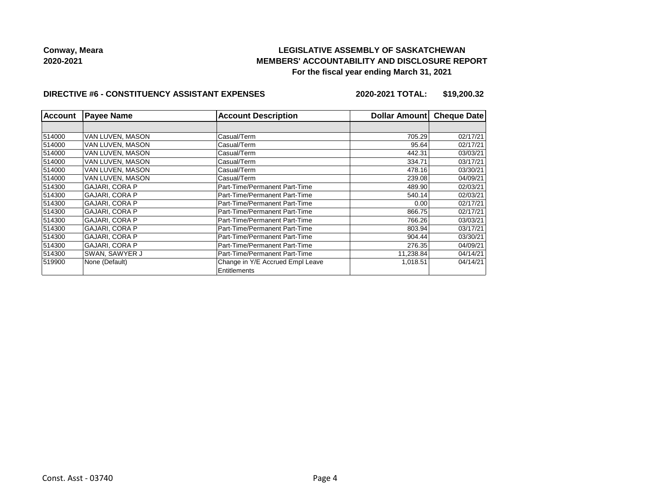## **LEGISLATIVE ASSEMBLY OF SASKATCHEWAN MEMBERS' ACCOUNTABILITY AND DISCLOSURE REPORT For the fiscal year ending March 31, 2021**

#### **DIRECTIVE #6 - CONSTITUENCY ASSISTANT EXPENSES**

**2020-2021 TOTAL: \$19,200.32**

| <b>Account</b> | <b>Payee Name</b>     | <b>Account Description</b>       | Dollar Amount | <b>Cheque Date</b> |
|----------------|-----------------------|----------------------------------|---------------|--------------------|
|                |                       |                                  |               |                    |
| 514000         | VAN LUVEN, MASON      | Casual/Term                      | 705.29        | 02/17/21           |
| 514000         | VAN LUVEN. MASON      | Casual/Term                      | 95.64         | 02/17/21           |
| 514000         | VAN LUVEN, MASON      | Casual/Term                      | 442.31        | 03/03/21           |
| 514000         | VAN LUVEN. MASON      | Casual/Term                      | 334.71        | 03/17/21           |
| 514000         | VAN LUVEN, MASON      | Casual/Term                      | 478.16        | 03/30/21           |
| 514000         | VAN LUVEN. MASON      | Casual/Term                      | 239.08        | 04/09/21           |
| 514300         | <b>GAJARI, CORA P</b> | Part-Time/Permanent Part-Time    | 489.90        | 02/03/21           |
| 514300         | <b>GAJARI, CORA P</b> | Part-Time/Permanent Part-Time    | 540.14        | 02/03/21           |
| 514300         | <b>GAJARI, CORA P</b> | Part-Time/Permanent Part-Time    | 0.00          | 02/17/21           |
| 514300         | <b>GAJARI, CORA P</b> | Part-Time/Permanent Part-Time    | 866.75        | 02/17/21           |
| 514300         | <b>GAJARI. CORA P</b> | Part-Time/Permanent Part-Time    | 766.26        | 03/03/21           |
| 514300         | <b>GAJARI, CORA P</b> | Part-Time/Permanent Part-Time    | 803.94        | 03/17/21           |
| 514300         | <b>GAJARI, CORA P</b> | Part-Time/Permanent Part-Time    | 904.44        | 03/30/21           |
| 514300         | <b>GAJARI, CORA P</b> | Part-Time/Permanent Part-Time    | 276.35        | 04/09/21           |
| 514300         | SWAN, SAWYER J        | Part-Time/Permanent Part-Time    | 11,238.84     | 04/14/21           |
| 519900         | None (Default)        | Change in Y/E Accrued Empl Leave | 1,018.51      | 04/14/21           |
|                |                       | Entitlements                     |               |                    |